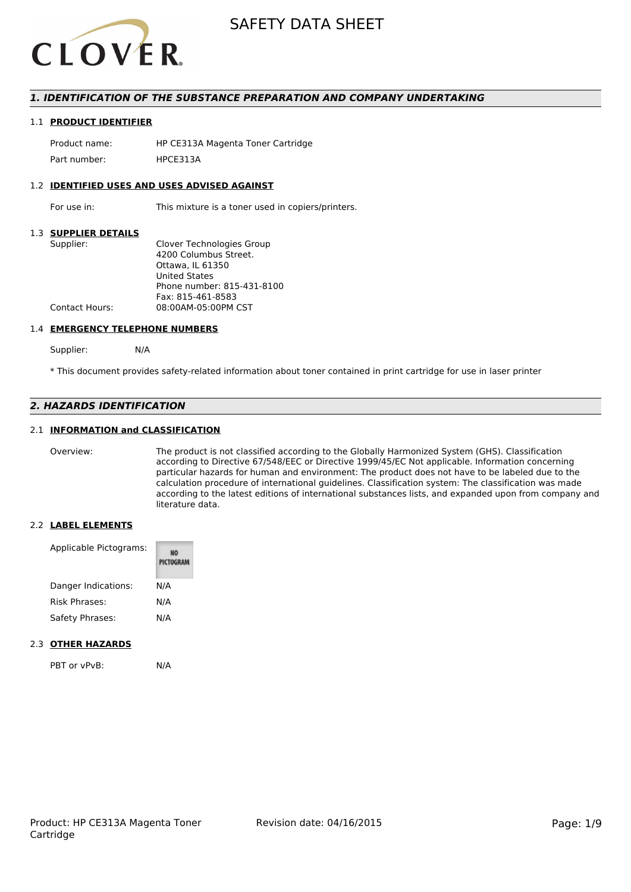

#### *1. IDENTIFICATION OF THE SUBSTANCE PREPARATION AND COMPANY UNDERTAKING*

#### 1.1 **PRODUCT IDENTIFIER**

Product name: HP CE313A Magenta Toner Cartridge Part number: HPCE313A

#### 1.2 **IDENTIFIED USES AND USES ADVISED AGAINST**

For use in: This mixture is a toner used in copiers/printers.

#### 1.3 **SUPPLIER DETAILS**

| Supplier:      | Clover Technologies Group  |
|----------------|----------------------------|
|                | 4200 Columbus Street.      |
|                | Ottawa. IL 61350           |
|                | <b>United States</b>       |
|                | Phone number: 815-431-8100 |
|                | Fax: 815-461-8583          |
| Contact Hours: | 08:00AM-05:00PM CST        |
|                |                            |

#### 1.4 **EMERGENCY TELEPHONE NUMBERS**

Supplier: N/A

\* This document provides safety-related information about toner contained in print cartridge for use in laser printer

#### *2. HAZARDS IDENTIFICATION*

#### 2.1 **INFORMATION and CLASSIFICATION**

Overview: The product is not classified according to the Globally Harmonized System (GHS). Classification according to Directive 67/548/EEC or Directive 1999/45/EC Not applicable. Information concerning particular hazards for human and environment: The product does not have to be labeled due to the calculation procedure of international guidelines. Classification system: The classification was made according to the latest editions of international substances lists, and expanded upon from company and literature data.

#### 2.2 **LABEL ELEMENTS**

| Applicable Pictograms: | PICTOGRAM |  |
|------------------------|-----------|--|
| Danger Indications:    | N/A       |  |
| Risk Phrases:          | N/A       |  |
| Safety Phrases:        | N/A       |  |

#### 2.3 **OTHER HAZARDS**

PBT or vPvB: N/A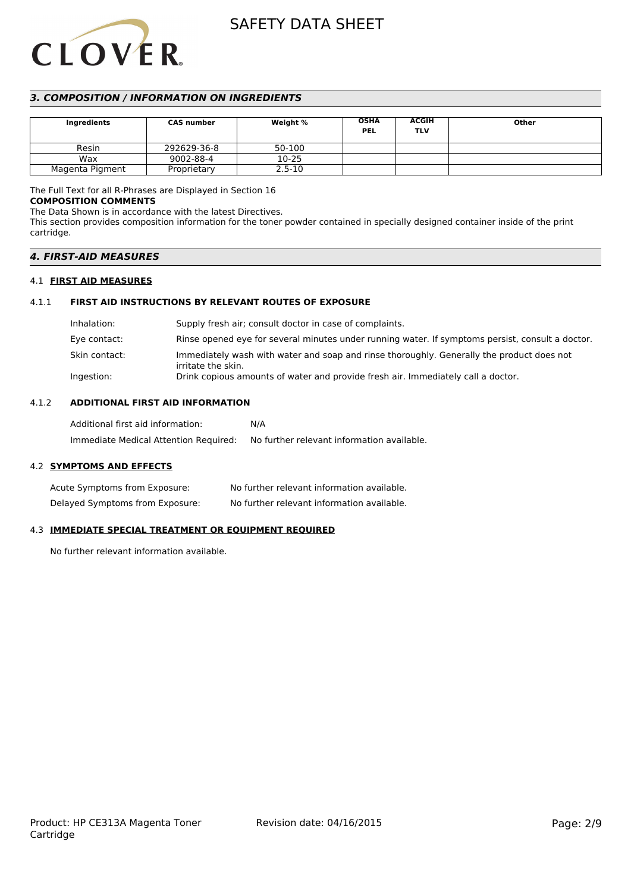# **CLOVER**

## SAFETY DATA SHEET

#### *3. COMPOSITION / INFORMATION ON INGREDIENTS*

| <b>CAS number</b><br>Ingredients |             | <b>OSHA</b><br>Weight %<br><b>PEL</b> | <b>ACGIH</b><br>TLV | Other |  |
|----------------------------------|-------------|---------------------------------------|---------------------|-------|--|
| Resin                            | 292629-36-8 | 50-100                                |                     |       |  |
| Wax                              | 9002-88-4   | 10-25                                 |                     |       |  |
| Magenta Pigment                  | Proprietary | $2.5 - 10$                            |                     |       |  |

#### The Full Text for all R-Phrases are Displayed in Section 16

#### **COMPOSITION COMMENTS**

The Data Shown is in accordance with the latest Directives.

This section provides composition information for the toner powder contained in specially designed container inside of the print cartridge.

#### *4. FIRST-AID MEASURES*

#### 4.1 **FIRST AID MEASURES**

#### 4.1.1 **FIRST AID INSTRUCTIONS BY RELEVANT ROUTES OF EXPOSURE**

| Inhalation:   | Supply fresh air; consult doctor in case of complaints.                                                         |
|---------------|-----------------------------------------------------------------------------------------------------------------|
| Eye contact:  | Rinse opened eye for several minutes under running water. If symptoms persist, consult a doctor.                |
| Skin contact: | Immediately wash with water and soap and rinse thoroughly. Generally the product does not<br>irritate the skin. |
| Ingestion:    | Drink copious amounts of water and provide fresh air. Immediately call a doctor.                                |

#### 4.1.2 **ADDITIONAL FIRST AID INFORMATION**

| Additional first aid information:     | N/A                                        |
|---------------------------------------|--------------------------------------------|
| Immediate Medical Attention Required: | No further relevant information available. |

#### 4.2 **SYMPTOMS AND EFFECTS**

| Acute Symptoms from Exposure:   | No further relevant information available. |
|---------------------------------|--------------------------------------------|
| Delayed Symptoms from Exposure: | No further relevant information available. |

#### 4.3 **IMMEDIATE SPECIAL TREATMENT OR EQUIPMENT REQUIRED**

No further relevant information available.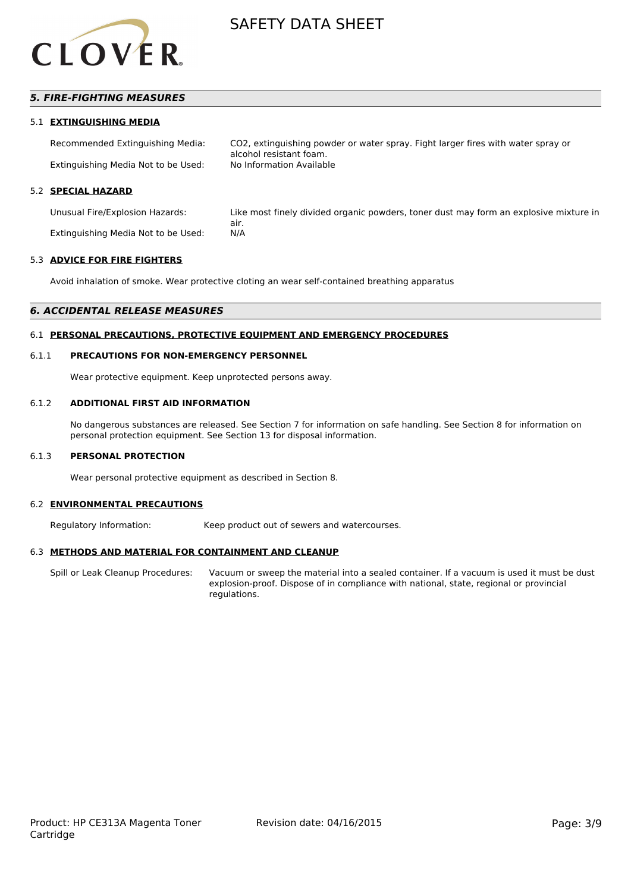

#### *5. FIRE-FIGHTING MEASURES*

#### 5.1 **EXTINGUISHING MEDIA**

Recommended Extinguishing Media: CO2, extinguishing powder or water spray. Fight larger fires with water spray or alcohol resistant foam. Extinguishing Media Not to be Used:

#### 5.2 **SPECIAL HAZARD**

Unusual Fire/Explosion Hazards: Like most finely divided organic powders, toner dust may form an explosive mixture in air. Extinguishing Media Not to be Used: N/A

#### 5.3 **ADVICE FOR FIRE FIGHTERS**

Avoid inhalation of smoke. Wear protective cloting an wear self-contained breathing apparatus

#### *6. ACCIDENTAL RELEASE MEASURES*

#### 6.1 **PERSONAL PRECAUTIONS, PROTECTIVE EQUIPMENT AND EMERGENCY PROCEDURES**

#### 6.1.1 **PRECAUTIONS FOR NON-EMERGENCY PERSONNEL**

Wear protective equipment. Keep unprotected persons away.

#### 6.1.2 **ADDITIONAL FIRST AID INFORMATION**

No dangerous substances are released. See Section 7 for information on safe handling. See Section 8 for information on personal protection equipment. See Section 13 for disposal information.

#### 6.1.3 **PERSONAL PROTECTION**

Wear personal protective equipment as described in Section 8.

#### 6.2 **ENVIRONMENTAL PRECAUTIONS**

Regulatory Information: Keep product out of sewers and watercourses.

#### 6.3 **METHODS AND MATERIAL FOR CONTAINMENT AND CLEANUP**

Spill or Leak Cleanup Procedures: Vacuum or sweep the material into a sealed container. If a vacuum is used it must be dust explosion-proof. Dispose of in compliance with national, state, regional or provincial regulations.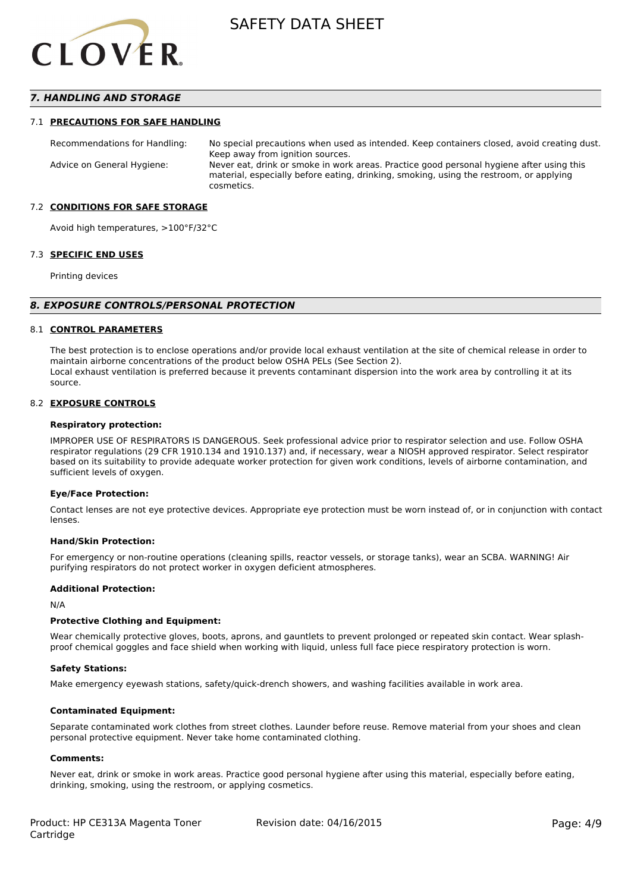

#### *7. HANDLING AND STORAGE*

#### 7.1 **PRECAUTIONS FOR SAFE HANDLING**

Recommendations for Handling: No special precautions when used as intended. Keep containers closed, avoid creating dust. Keep away from ignition sources. Advice on General Hygiene: Never eat, drink or smoke in work areas. Practice good personal hygiene after using this material, especially before eating, drinking, smoking, using the restroom, or applying cosmetics.

#### 7.2 **CONDITIONS FOR SAFE STORAGE**

Avoid high temperatures, >100°F/32°C

#### 7.3 **SPECIFIC END USES**

Printing devices

#### *8. EXPOSURE CONTROLS/PERSONAL PROTECTION*

#### 8.1 **CONTROL PARAMETERS**

The best protection is to enclose operations and/or provide local exhaust ventilation at the site of chemical release in order to maintain airborne concentrations of the product below OSHA PELs (See Section 2). Local exhaust ventilation is preferred because it prevents contaminant dispersion into the work area by controlling it at its source.

#### 8.2 **EXPOSURE CONTROLS**

#### **Respiratory protection:**

IMPROPER USE OF RESPIRATORS IS DANGEROUS. Seek professional advice prior to respirator selection and use. Follow OSHA respirator regulations (29 CFR 1910.134 and 1910.137) and, if necessary, wear a NIOSH approved respirator. Select respirator based on its suitability to provide adequate worker protection for given work conditions, levels of airborne contamination, and sufficient levels of oxygen.

#### **Eye/Face Protection:**

Contact lenses are not eye protective devices. Appropriate eye protection must be worn instead of, or in conjunction with contact lenses.

#### **Hand/Skin Protection:**

For emergency or non-routine operations (cleaning spills, reactor vessels, or storage tanks), wear an SCBA. WARNING! Air purifying respirators do not protect worker in oxygen deficient atmospheres.

#### **Additional Protection:**

N/A

#### **Protective Clothing and Equipment:**

Wear chemically protective gloves, boots, aprons, and gauntlets to prevent prolonged or repeated skin contact. Wear splashproof chemical goggles and face shield when working with liquid, unless full face piece respiratory protection is worn.

#### **Safety Stations:**

Make emergency eyewash stations, safety/quick-drench showers, and washing facilities available in work area.

#### **Contaminated Equipment:**

Separate contaminated work clothes from street clothes. Launder before reuse. Remove material from your shoes and clean personal protective equipment. Never take home contaminated clothing.

#### **Comments:**

Never eat, drink or smoke in work areas. Practice good personal hygiene after using this material, especially before eating, drinking, smoking, using the restroom, or applying cosmetics.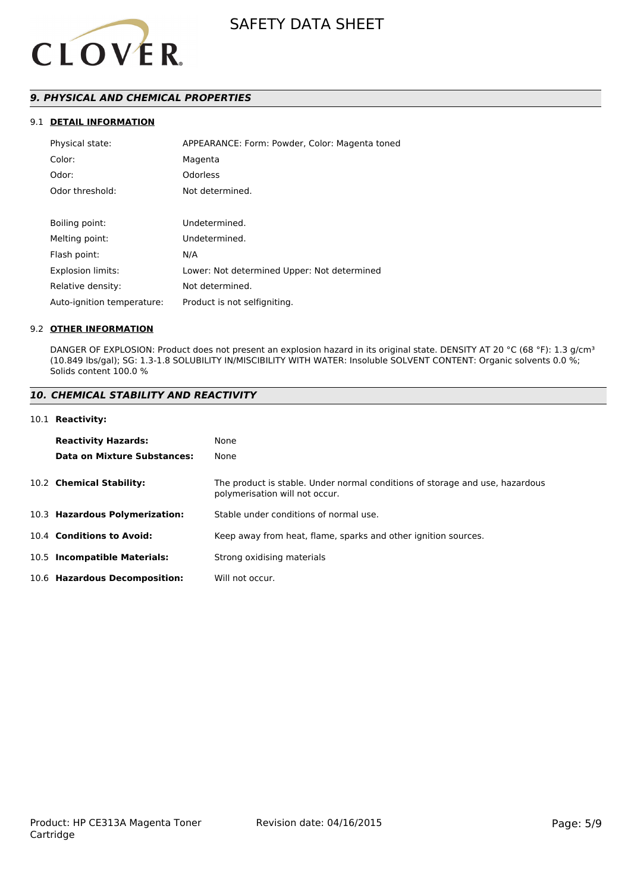

### *9. PHYSICAL AND CHEMICAL PROPERTIES*

#### 9.1 **DETAIL INFORMATION**

| Physical state:            | APPEARANCE: Form: Powder, Color: Magenta toned |
|----------------------------|------------------------------------------------|
| Color:                     | Magenta                                        |
| Odor:                      | <b>Odorless</b>                                |
| Odor threshold:            | Not determined.                                |
|                            |                                                |
| Boiling point:             | Undetermined.                                  |
| Melting point:             | Undetermined.                                  |
| Flash point:               | N/A                                            |
| Explosion limits:          | Lower: Not determined Upper: Not determined    |
| Relative density:          | Not determined.                                |
| Auto-ignition temperature: | Product is not selfigniting.                   |

#### 9.2 **OTHER INFORMATION**

DANGER OF EXPLOSION: Product does not present an explosion hazard in its original state. DENSITY AT 20 °C (68 °F): 1.3 g/cm<sup>3</sup> (10.849 lbs/gal); SG: 1.3-1.8 SOLUBILITY IN/MISCIBILITY WITH WATER: Insoluble SOLVENT CONTENT: Organic solvents 0.0 %; Solids content 100.0 %

#### *10. CHEMICAL STABILITY AND REACTIVITY*

#### 10.1 **Reactivity:**

| <b>Reactivity Hazards:</b>     | None                                                                                                           |
|--------------------------------|----------------------------------------------------------------------------------------------------------------|
| Data on Mixture Substances:    | None                                                                                                           |
| 10.2 Chemical Stability:       | The product is stable. Under normal conditions of storage and use, hazardous<br>polymerisation will not occur. |
| 10.3 Hazardous Polymerization: | Stable under conditions of normal use.                                                                         |
| 10.4 Conditions to Avoid:      | Keep away from heat, flame, sparks and other ignition sources.                                                 |
| 10.5 Incompatible Materials:   | Strong oxidising materials                                                                                     |
| 10.6 Hazardous Decomposition:  | Will not occur.                                                                                                |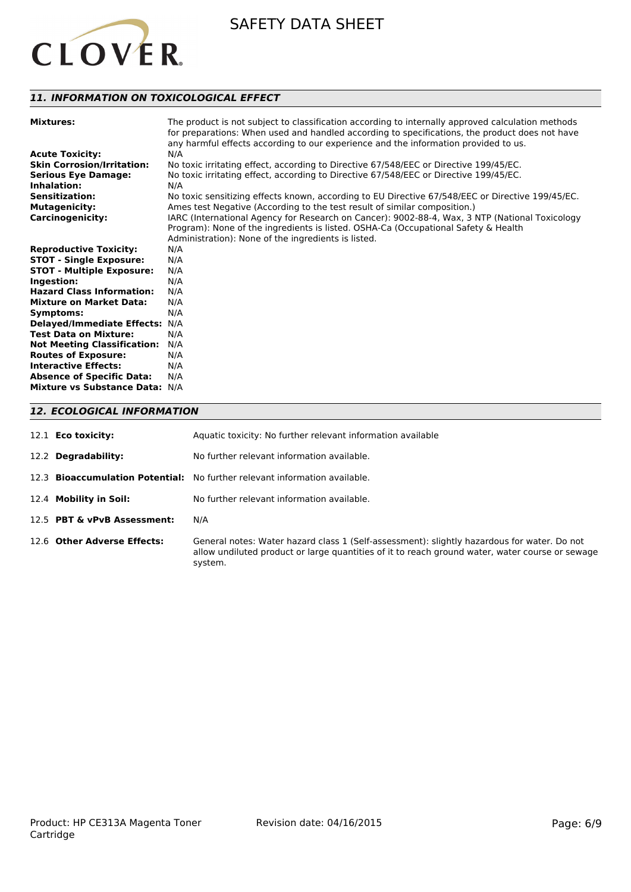

#### *11. INFORMATION ON TOXICOLOGICAL EFFECT*

| <b>Mixtures:</b>                   | The product is not subject to classification according to internally approved calculation methods<br>for preparations: When used and handled according to specifications, the product does not have<br>any harmful effects according to our experience and the information provided to us. |
|------------------------------------|--------------------------------------------------------------------------------------------------------------------------------------------------------------------------------------------------------------------------------------------------------------------------------------------|
| <b>Acute Toxicity:</b>             | N/A                                                                                                                                                                                                                                                                                        |
| <b>Skin Corrosion/Irritation:</b>  | No toxic irritating effect, according to Directive 67/548/EEC or Directive 199/45/EC.                                                                                                                                                                                                      |
| <b>Serious Eye Damage:</b>         | No toxic irritating effect, according to Directive 67/548/EEC or Directive 199/45/EC.                                                                                                                                                                                                      |
| Inhalation:                        | N/A                                                                                                                                                                                                                                                                                        |
| <b>Sensitization:</b>              | No toxic sensitizing effects known, according to EU Directive 67/548/EEC or Directive 199/45/EC.                                                                                                                                                                                           |
| <b>Mutagenicity:</b>               | Ames test Negative (According to the test result of similar composition.)                                                                                                                                                                                                                  |
| <b>Carcinogenicity:</b>            | IARC (International Agency for Research on Cancer): 9002-88-4, Wax, 3 NTP (National Toxicology                                                                                                                                                                                             |
|                                    | Program): None of the ingredients is listed. OSHA-Ca (Occupational Safety & Health                                                                                                                                                                                                         |
|                                    | Administration): None of the ingredients is listed.                                                                                                                                                                                                                                        |
| <b>Reproductive Toxicity:</b>      | N/A                                                                                                                                                                                                                                                                                        |
| <b>STOT - Single Exposure:</b>     | N/A                                                                                                                                                                                                                                                                                        |
| <b>STOT - Multiple Exposure:</b>   | N/A                                                                                                                                                                                                                                                                                        |
| Ingestion:                         | N/A                                                                                                                                                                                                                                                                                        |
| <b>Hazard Class Information:</b>   | N/A                                                                                                                                                                                                                                                                                        |
| <b>Mixture on Market Data:</b>     | N/A                                                                                                                                                                                                                                                                                        |
| Symptoms:                          | N/A                                                                                                                                                                                                                                                                                        |
| Delayed/Immediate Effects: N/A     |                                                                                                                                                                                                                                                                                            |
| <b>Test Data on Mixture:</b>       | N/A                                                                                                                                                                                                                                                                                        |
| <b>Not Meeting Classification:</b> | N/A                                                                                                                                                                                                                                                                                        |
| <b>Routes of Exposure:</b>         | N/A                                                                                                                                                                                                                                                                                        |
| <b>Interactive Effects:</b>        | N/A                                                                                                                                                                                                                                                                                        |
| <b>Absence of Specific Data:</b>   | N/A                                                                                                                                                                                                                                                                                        |
| Mixture vs Substance Data: N/A     |                                                                                                                                                                                                                                                                                            |
|                                    |                                                                                                                                                                                                                                                                                            |

#### *12. ECOLOGICAL INFORMATION*

| 12.1 <b>Eco toxicity:</b>   | Aquatic toxicity: No further relevant information available                                                                                                                                               |
|-----------------------------|-----------------------------------------------------------------------------------------------------------------------------------------------------------------------------------------------------------|
| 12.2 Degradability:         | No further relevant information available.                                                                                                                                                                |
|                             | 12.3 <b>Bioaccumulation Potential:</b> No further relevant information available.                                                                                                                         |
| 12.4 Mobility in Soil:      | No further relevant information available.                                                                                                                                                                |
| 12.5 PBT & vPvB Assessment: | N/A                                                                                                                                                                                                       |
| 12.6 Other Adverse Effects: | General notes: Water hazard class 1 (Self-assessment): slightly hazardous for water. Do not<br>allow undiluted product or large quantities of it to reach ground water, water course or sewage<br>system. |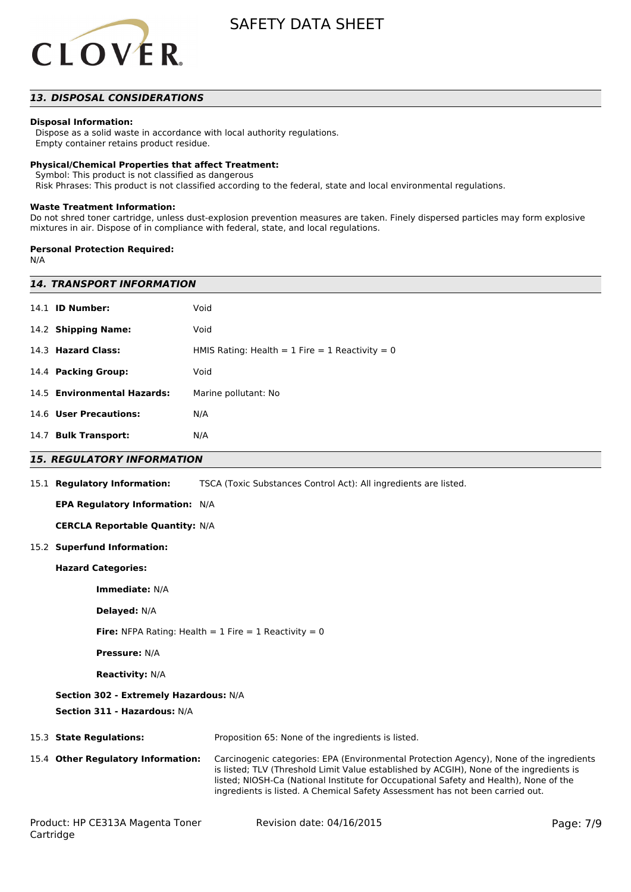

#### *13. DISPOSAL CONSIDERATIONS*

#### **Disposal Information:**

 Dispose as a solid waste in accordance with local authority regulations. Empty container retains product residue.

#### **Physical/Chemical Properties that affect Treatment:**

Symbol: This product is not classified as dangerous

Risk Phrases: This product is not classified according to the federal, state and local environmental regulations.

#### **Waste Treatment Information:**

Do not shred toner cartridge, unless dust-explosion prevention measures are taken. Finely dispersed particles may form explosive mixtures in air. Dispose of in compliance with federal, state, and local regulations.

#### **Personal Protection Required:**

N/A

Cartridge

| <b>14. TRANSPORT INFORMATION</b>       |                                                                                                                                                                                                                                                                                                                                                              |           |
|----------------------------------------|--------------------------------------------------------------------------------------------------------------------------------------------------------------------------------------------------------------------------------------------------------------------------------------------------------------------------------------------------------------|-----------|
|                                        |                                                                                                                                                                                                                                                                                                                                                              |           |
| 14.1 <b>ID Number:</b>                 | Void                                                                                                                                                                                                                                                                                                                                                         |           |
| 14.2 Shipping Name:                    | Void                                                                                                                                                                                                                                                                                                                                                         |           |
| 14.3 Hazard Class:                     | HMIS Rating: Health = $1$ Fire = $1$ Reactivity = 0                                                                                                                                                                                                                                                                                                          |           |
| 14.4 Packing Group:                    | Void                                                                                                                                                                                                                                                                                                                                                         |           |
| 14.5 Environmental Hazards:            | Marine pollutant: No                                                                                                                                                                                                                                                                                                                                         |           |
| 14.6 User Precautions:                 | N/A                                                                                                                                                                                                                                                                                                                                                          |           |
| 14.7 Bulk Transport:                   | N/A                                                                                                                                                                                                                                                                                                                                                          |           |
| <b>15. REGULATORY INFORMATION</b>      |                                                                                                                                                                                                                                                                                                                                                              |           |
| 15.1 Regulatory Information:           | TSCA (Toxic Substances Control Act): All ingredients are listed.                                                                                                                                                                                                                                                                                             |           |
| EPA Regulatory Information: N/A        |                                                                                                                                                                                                                                                                                                                                                              |           |
| <b>CERCLA Reportable Quantity: N/A</b> |                                                                                                                                                                                                                                                                                                                                                              |           |
| 15.2 Superfund Information:            |                                                                                                                                                                                                                                                                                                                                                              |           |
| <b>Hazard Categories:</b>              |                                                                                                                                                                                                                                                                                                                                                              |           |
| Immediate: N/A                         |                                                                                                                                                                                                                                                                                                                                                              |           |
| Delayed: N/A                           |                                                                                                                                                                                                                                                                                                                                                              |           |
|                                        | <b>Fire:</b> NFPA Rating: Health = $1$ Fire = $1$ Reactivity = 0                                                                                                                                                                                                                                                                                             |           |
| <b>Pressure: N/A</b>                   |                                                                                                                                                                                                                                                                                                                                                              |           |
| <b>Reactivity: N/A</b>                 |                                                                                                                                                                                                                                                                                                                                                              |           |
| Section 302 - Extremely Hazardous: N/A |                                                                                                                                                                                                                                                                                                                                                              |           |
| Section 311 - Hazardous: N/A           |                                                                                                                                                                                                                                                                                                                                                              |           |
| 15.3 State Regulations:                | Proposition 65: None of the ingredients is listed.                                                                                                                                                                                                                                                                                                           |           |
| 15.4 Other Regulatory Information:     | Carcinogenic categories: EPA (Environmental Protection Agency), None of the ingredients<br>is listed; TLV (Threshold Limit Value established by ACGIH), None of the ingredients is<br>listed; NIOSH-Ca (National Institute for Occupational Safety and Health), None of the<br>ingredients is listed. A Chemical Safety Assessment has not been carried out. |           |
| Product: HP CE313A Magenta Toner       | Revision date: 04/16/2015                                                                                                                                                                                                                                                                                                                                    | Page: 7/9 |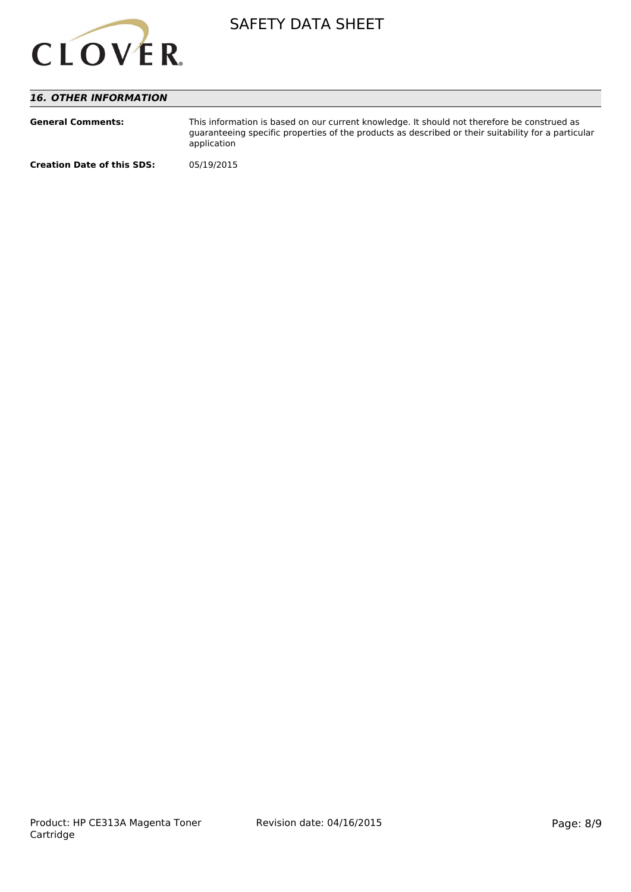

#### *16. OTHER INFORMATION*

| <b>General Comments:</b>          | This information is based on our current knowledge. It should not therefore be construed as<br>guaranteeing specific properties of the products as described or their suitability for a particular<br>application |
|-----------------------------------|-------------------------------------------------------------------------------------------------------------------------------------------------------------------------------------------------------------------|
| <b>Creation Date of this SDS:</b> | 05/19/2015                                                                                                                                                                                                        |